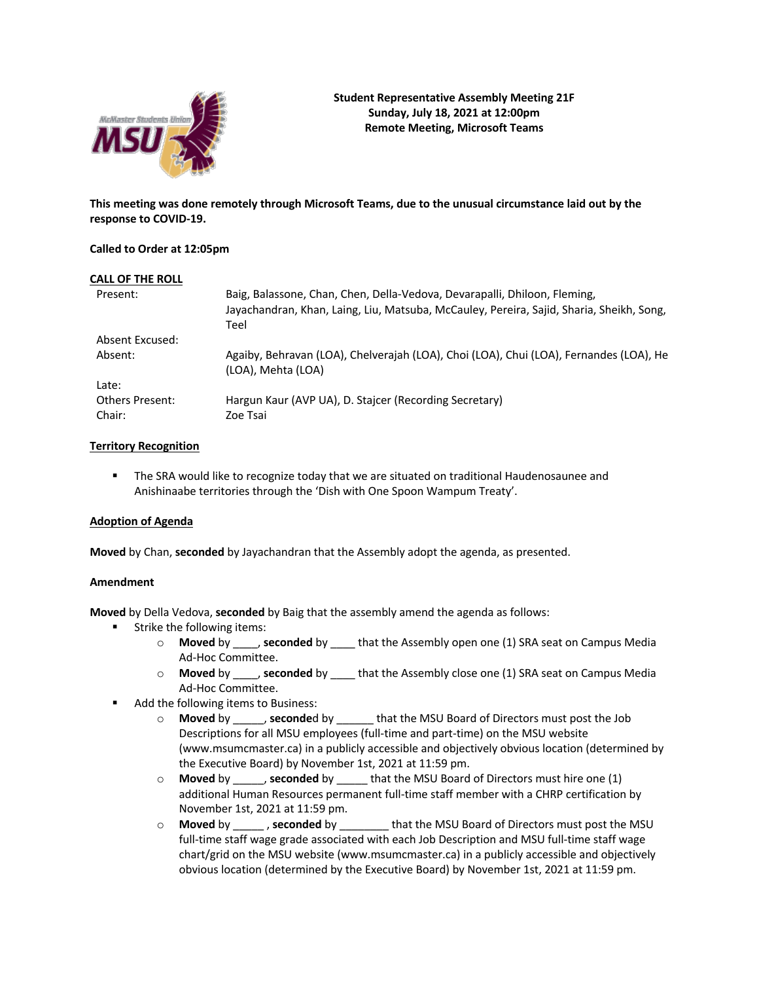

**This meeting was done remotely through Microsoft Teams, due to the unusual circumstance laid out by the response to COVID-19.**

### **Called to Order at 12:05pm**

| <b>CALL OF THE ROLL</b>          |                                                                                                                                                                               |
|----------------------------------|-------------------------------------------------------------------------------------------------------------------------------------------------------------------------------|
| Present:                         | Baig, Balassone, Chan, Chen, Della-Vedova, Devarapalli, Dhiloon, Fleming,<br>Jayachandran, Khan, Laing, Liu, Matsuba, McCauley, Pereira, Sajid, Sharia, Sheikh, Song,<br>Teel |
| Absent Excused:                  |                                                                                                                                                                               |
| Absent:                          | Agaiby, Behravan (LOA), Chelverajah (LOA), Choi (LOA), Chui (LOA), Fernandes (LOA), He<br>(LOA), Mehta (LOA)                                                                  |
| Late:                            |                                                                                                                                                                               |
| <b>Others Present:</b><br>Chair: | Hargun Kaur (AVP UA), D. Staicer (Recording Secretary)<br>Zoe Tsai                                                                                                            |

### **Territory Recognition**

**•** The SRA would like to recognize today that we are situated on traditional Haudenosaunee and Anishinaabe territories through the 'Dish with One Spoon Wampum Treaty'.

### **Adoption of Agenda**

**Moved** by Chan, **seconded** by Jayachandran that the Assembly adopt the agenda, as presented.

### **Amendment**

**Moved** by Della Vedova, **seconded** by Baig that the assembly amend the agenda as follows:

- Strike the following items:
	- o **Moved** by \_\_\_\_, **seconded** by \_\_\_\_ that the Assembly open one (1) SRA seat on Campus Media Ad-Hoc Committee.
	- o **Moved** by \_\_\_\_, **seconded** by \_\_\_\_ that the Assembly close one (1) SRA seat on Campus Media Ad-Hoc Committee.
- Add the following items to Business:
	- o **Moved** by \_\_\_\_\_, **seconde**d by \_\_\_\_\_\_ that the MSU Board of Directors must post the Job Descriptions for all MSU employees (full-time and part-time) on the MSU website (www.msumcmaster.ca) in a publicly accessible and objectively obvious location (determined by the Executive Board) by November 1st, 2021 at 11:59 pm.
	- o **Moved** by \_\_\_\_\_, **seconded** by \_\_\_\_\_ that the MSU Board of Directors must hire one (1) additional Human Resources permanent full-time staff member with a CHRP certification by November 1st, 2021 at 11:59 pm.
	- o **Moved** by \_\_\_\_\_ , **seconded** by \_\_\_\_\_\_\_\_ that the MSU Board of Directors must post the MSU full-time staff wage grade associated with each Job Description and MSU full-time staff wage chart/grid on the MSU website (www.msumcmaster.ca) in a publicly accessible and objectively obvious location (determined by the Executive Board) by November 1st, 2021 at 11:59 pm.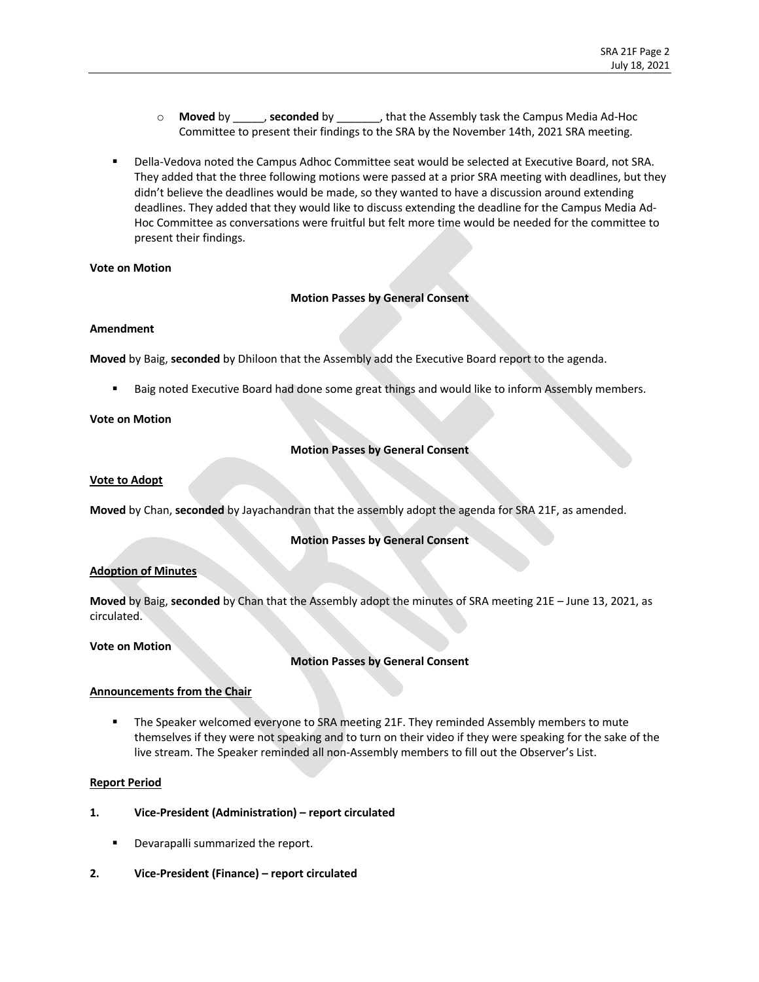- o **Moved** by \_\_\_\_\_, **seconded** by \_\_\_\_\_\_\_, that the Assembly task the Campus Media Ad-Hoc Committee to present their findings to the SRA by the November 14th, 2021 SRA meeting.
- Della-Vedova noted the Campus Adhoc Committee seat would be selected at Executive Board, not SRA. They added that the three following motions were passed at a prior SRA meeting with deadlines, but they didn't believe the deadlines would be made, so they wanted to have a discussion around extending deadlines. They added that they would like to discuss extending the deadline for the Campus Media Ad-Hoc Committee as conversations were fruitful but felt more time would be needed for the committee to present their findings.

### **Vote on Motion**

## **Motion Passes by General Consent**

### **Amendment**

**Moved** by Baig, **seconded** by Dhiloon that the Assembly add the Executive Board report to the agenda.

Baig noted Executive Board had done some great things and would like to inform Assembly members.

## **Vote on Motion**

# **Motion Passes by General Consent**

### **Vote to Adopt**

**Moved** by Chan, **seconded** by Jayachandran that the assembly adopt the agenda for SRA 21F, as amended.

## **Motion Passes by General Consent**

## **Adoption of Minutes**

**Moved** by Baig, **seconded** by Chan that the Assembly adopt the minutes of SRA meeting 21E – June 13, 2021, as circulated.

### **Vote on Motion**

## **Motion Passes by General Consent**

## **Announcements from the Chair**

■ The Speaker welcomed everyone to SRA meeting 21F. They reminded Assembly members to mute themselves if they were not speaking and to turn on their video if they were speaking for the sake of the live stream. The Speaker reminded all non-Assembly members to fill out the Observer's List.

### **Report Period**

- **1. Vice-President (Administration) – report circulated**
	- Devarapalli summarized the report.
- **2. Vice-President (Finance) – report circulated**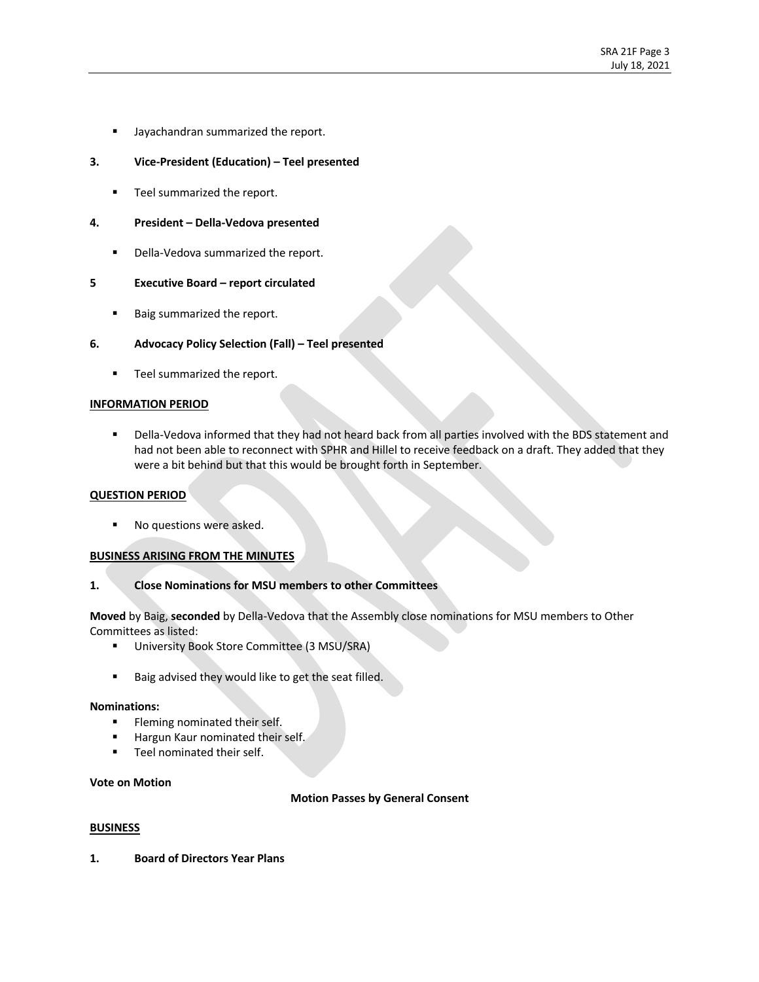■ Jayachandran summarized the report.

## **3. Vice-President (Education) – Teel presented**

■ Teel summarized the report.

### **4. President – Della-Vedova presented**

■ Della-Vedova summarized the report.

### **5 Executive Board – report circulated**

■ Baig summarized the report.

### **6. Advocacy Policy Selection (Fall) – Teel presented**

**•** Teel summarized the report.

### **INFORMATION PERIOD**

§ Della-Vedova informed that they had not heard back from all parties involved with the BDS statement and had not been able to reconnect with SPHR and Hillel to receive feedback on a draft. They added that they were a bit behind but that this would be brought forth in September.

### **QUESTION PERIOD**

■ No questions were asked.

### **BUSINESS ARISING FROM THE MINUTES**

### **1. Close Nominations for MSU members to other Committees**

**Moved** by Baig, **seconded** by Della-Vedova that the Assembly close nominations for MSU members to Other Committees as listed:

- § University Book Store Committee (3 MSU/SRA)
- Baig advised they would like to get the seat filled.

### **Nominations:**

- **■** Fleming nominated their self.
- Hargun Kaur nominated their self.
- Teel nominated their self.

#### **Vote on Motion**

### **Motion Passes by General Consent**

### **BUSINESS**

**1. Board of Directors Year Plans**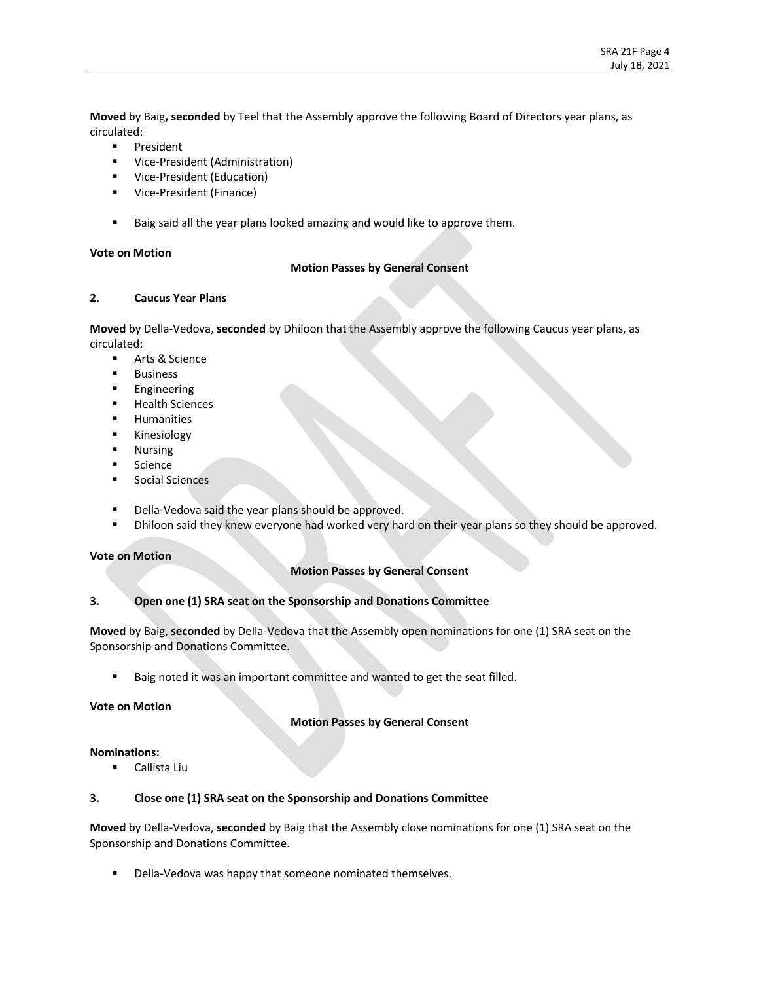**Moved** by Baig**, seconded** by Teel that the Assembly approve the following Board of Directors year plans, as circulated:

- § President
- § Vice-President (Administration)
- Vice-President (Education)
- Vice-President (Finance)
- Baig said all the year plans looked amazing and would like to approve them.

### **Vote on Motion**

### **Motion Passes by General Consent**

### **2. Caucus Year Plans**

**Moved** by Della-Vedova, **seconded** by Dhiloon that the Assembly approve the following Caucus year plans, as circulated:

- Arts & Science
- § Business
- § Engineering
- § Health Sciences
- § Humanities
- § Kinesiology
- § Nursing
- Science
- Social Sciences
- Della-Vedova said the year plans should be approved.
- Dhiloon said they knew everyone had worked very hard on their year plans so they should be approved.

## **Vote on Motion**

## **Motion Passes by General Consent**

## **3. Open one (1) SRA seat on the Sponsorship and Donations Committee**

**Moved** by Baig, **seconded** by Della-Vedova that the Assembly open nominations for one (1) SRA seat on the Sponsorship and Donations Committee.

Baig noted it was an important committee and wanted to get the seat filled.

## **Vote on Motion**

# **Motion Passes by General Consent**

## **Nominations:**

■ Callista Liu

# **3. Close one (1) SRA seat on the Sponsorship and Donations Committee**

**Moved** by Della-Vedova, **seconded** by Baig that the Assembly close nominations for one (1) SRA seat on the Sponsorship and Donations Committee.

■ Della-Vedova was happy that someone nominated themselves.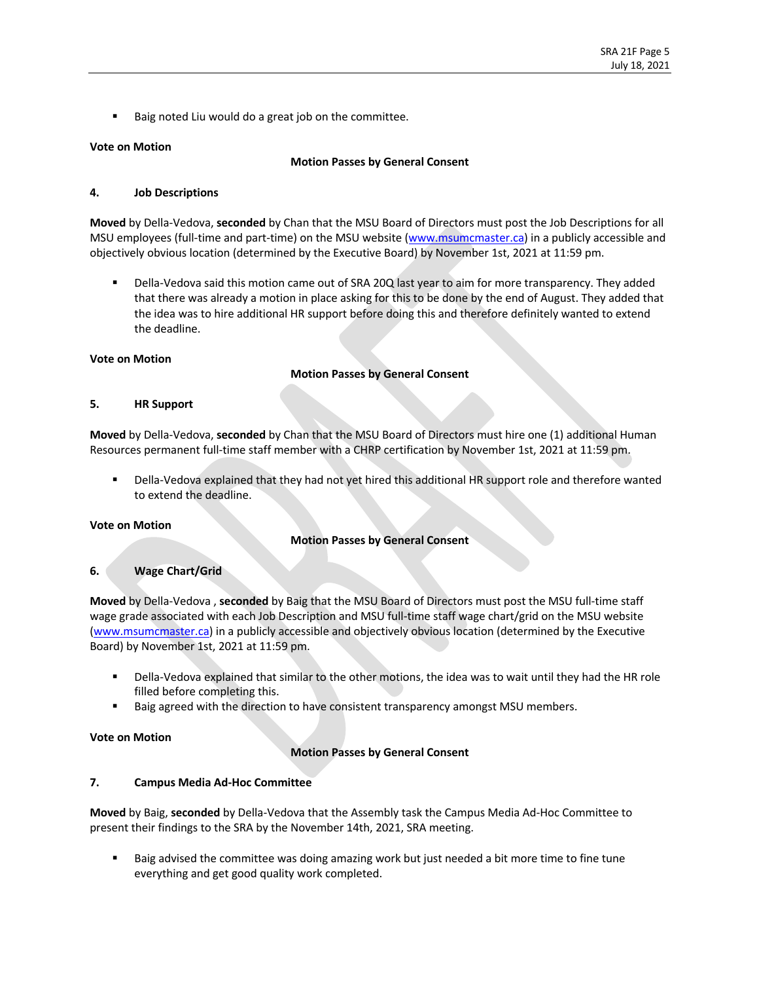Baig noted Liu would do a great job on the committee.

### **Vote on Motion**

### **Motion Passes by General Consent**

### **4. Job Descriptions**

**Moved** by Della-Vedova, **seconded** by Chan that the MSU Board of Directors must post the Job Descriptions for all MSU employees (full-time and part-time) on the MSU website (www.msumcmaster.ca) in a publicly accessible and objectively obvious location (determined by the Executive Board) by November 1st, 2021 at 11:59 pm.

Della-Vedova said this motion came out of SRA 20Q last year to aim for more transparency. They added that there was already a motion in place asking for this to be done by the end of August. They added that the idea was to hire additional HR support before doing this and therefore definitely wanted to extend the deadline.

### **Vote on Motion**

### **Motion Passes by General Consent**

### **5. HR Support**

**Moved** by Della-Vedova, **seconded** by Chan that the MSU Board of Directors must hire one (1) additional Human Resources permanent full-time staff member with a CHRP certification by November 1st, 2021 at 11:59 pm.

Della-Vedova explained that they had not yet hired this additional HR support role and therefore wanted to extend the deadline.

### **Vote on Motion**

## **Motion Passes by General Consent**

## **6. Wage Chart/Grid**

**Moved** by Della-Vedova , **seconded** by Baig that the MSU Board of Directors must post the MSU full-time staff wage grade associated with each Job Description and MSU full-time staff wage chart/grid on the MSU website (www.msumcmaster.ca) in a publicly accessible and objectively obvious location (determined by the Executive Board) by November 1st, 2021 at 11:59 pm.

- § Della-Vedova explained that similar to the other motions, the idea was to wait until they had the HR role filled before completing this.
- Baig agreed with the direction to have consistent transparency amongst MSU members.

### **Vote on Motion**

## **Motion Passes by General Consent**

## **7. Campus Media Ad-Hoc Committee**

**Moved** by Baig, **seconded** by Della-Vedova that the Assembly task the Campus Media Ad-Hoc Committee to present their findings to the SRA by the November 14th, 2021, SRA meeting.

Baig advised the committee was doing amazing work but just needed a bit more time to fine tune everything and get good quality work completed.